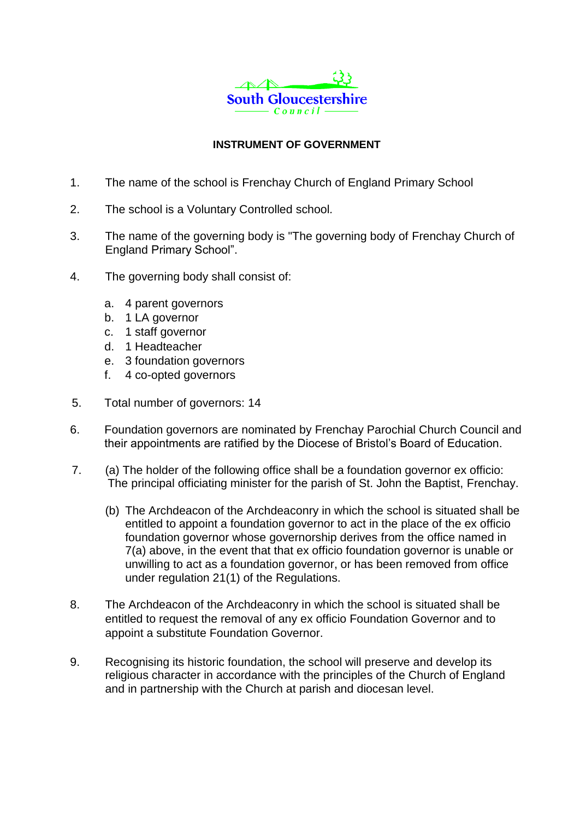

## **INSTRUMENT OF GOVERNMENT**

- 1. The name of the school is Frenchay Church of England Primary School
- 2. The school is a Voluntary Controlled school*.*
- 3. The name of the governing body is "The governing body of Frenchay Church of England Primary School".
- 4. The governing body shall consist of:
	- a. 4 parent governors
	- b. 1 LA governor
	- c. 1 staff governor
	- d. 1 Headteacher
	- e. 3 foundation governors
	- f. 4 co-opted governors
- 5. Total number of governors: 14
- 6. Foundation governors are nominated by Frenchay Parochial Church Council and their appointments are ratified by the Diocese of Bristol's Board of Education.
- 7. (a) The holder of the following office shall be a foundation governor ex officio: The principal officiating minister for the parish of St. John the Baptist, Frenchay.
	- (b) The Archdeacon of the Archdeaconry in which the school is situated shall be entitled to appoint a foundation governor to act in the place of the ex officio foundation governor whose governorship derives from the office named in 7(a) above, in the event that that ex officio foundation governor is unable or unwilling to act as a foundation governor, or has been removed from office under regulation 21(1) of the Regulations.
- 8. The Archdeacon of the Archdeaconry in which the school is situated shall be entitled to request the removal of any ex officio Foundation Governor and to appoint a substitute Foundation Governor.
- 9. Recognising its historic foundation, the school will preserve and develop its religious character in accordance with the principles of the Church of England and in partnership with the Church at parish and diocesan level.